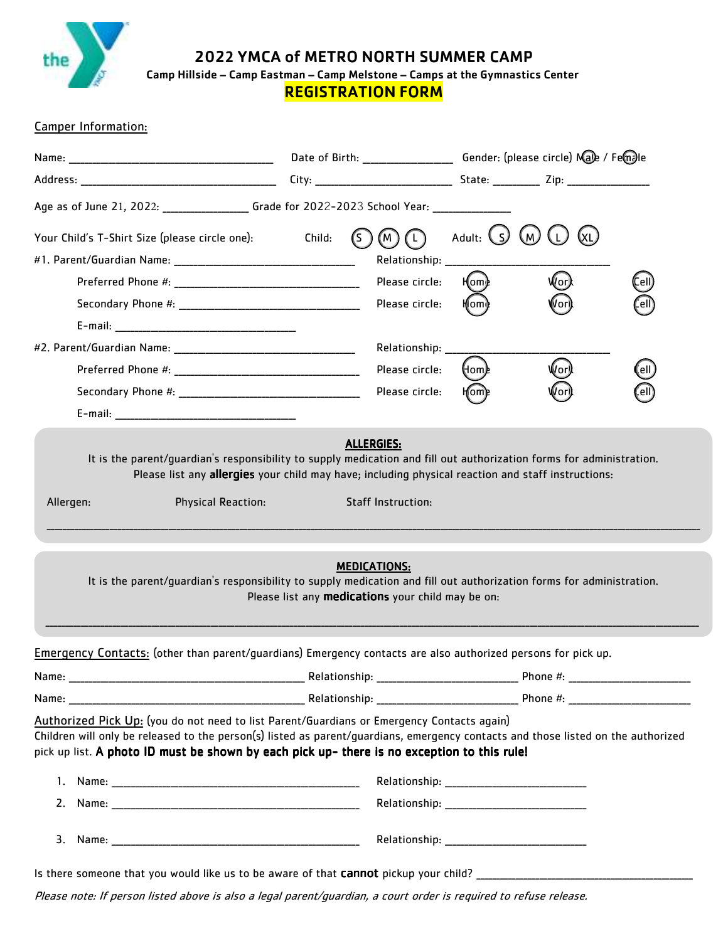

202**2** YMCA of METRO NORTH SUMMER CAMP

Camp Hillside – Camp Eastman – Camp Melstone – Camps at the Gymnastics Center

REGISTRATION FORM

### Camper Information:

|                                                                                                                                                                                                                                                                                                                                | Date of Birth: ______________________ Gender: (please circle) Male / Femalle |                  |              |     |      |
|--------------------------------------------------------------------------------------------------------------------------------------------------------------------------------------------------------------------------------------------------------------------------------------------------------------------------------|------------------------------------------------------------------------------|------------------|--------------|-----|------|
|                                                                                                                                                                                                                                                                                                                                |                                                                              |                  |              |     |      |
| Age as of June 21, 2022: _________________Grade for 2022-2023 School Year: _________________________                                                                                                                                                                                                                           |                                                                              |                  |              |     |      |
| Your Child's T-Shirt Size (please circle one):                                                                                                                                                                                                                                                                                 | Child:                                                                       | (M )<br>(L)      | Adult: $(s)$ | (W) |      |
|                                                                                                                                                                                                                                                                                                                                |                                                                              | Relationship: __ |              |     |      |
|                                                                                                                                                                                                                                                                                                                                |                                                                              | Please circle:   | H(om)⊵       | /or |      |
|                                                                                                                                                                                                                                                                                                                                |                                                                              | Please circle:   |              |     |      |
|                                                                                                                                                                                                                                                                                                                                |                                                                              |                  |              |     |      |
|                                                                                                                                                                                                                                                                                                                                |                                                                              | Relationship: __ |              |     |      |
|                                                                                                                                                                                                                                                                                                                                |                                                                              | Please circle:   | (Hom)e       | /or | ell) |
|                                                                                                                                                                                                                                                                                                                                |                                                                              | Please circle:   |              |     |      |
|                                                                                                                                                                                                                                                                                                                                |                                                                              |                  |              |     |      |
| It is the parent/guardian's responsibility to supply medication and fill out authorization forms for administration.                                                                                                                                                                                                           | <b>MEDICATIONS:</b><br>Please list any medications your child may be on:     |                  |              |     |      |
| Emergency Contacts: (other than parent/guardians) Emergency contacts are also authorized persons for pick up.                                                                                                                                                                                                                  |                                                                              |                  |              |     |      |
|                                                                                                                                                                                                                                                                                                                                |                                                                              |                  |              |     |      |
|                                                                                                                                                                                                                                                                                                                                |                                                                              |                  |              |     |      |
| Authorized Pick Up: (you do not need to list Parent/Guardians or Emergency Contacts again)<br>Children will only be released to the person(s) listed as parent/guardians, emergency contacts and those listed on the authorized<br>pick up list. A photo ID must be shown by each pick up- there is no exception to this rule! |                                                                              |                  |              |     |      |
|                                                                                                                                                                                                                                                                                                                                |                                                                              |                  |              |     |      |
|                                                                                                                                                                                                                                                                                                                                |                                                                              |                  |              |     |      |
| Is there someone that you would like us to be aware of that <b>cannot</b> pickup your child? ______________                                                                                                                                                                                                                    |                                                                              |                  |              |     |      |

Please note: If person listed above is also a legal parent/guardian, a court order is required to refuse release.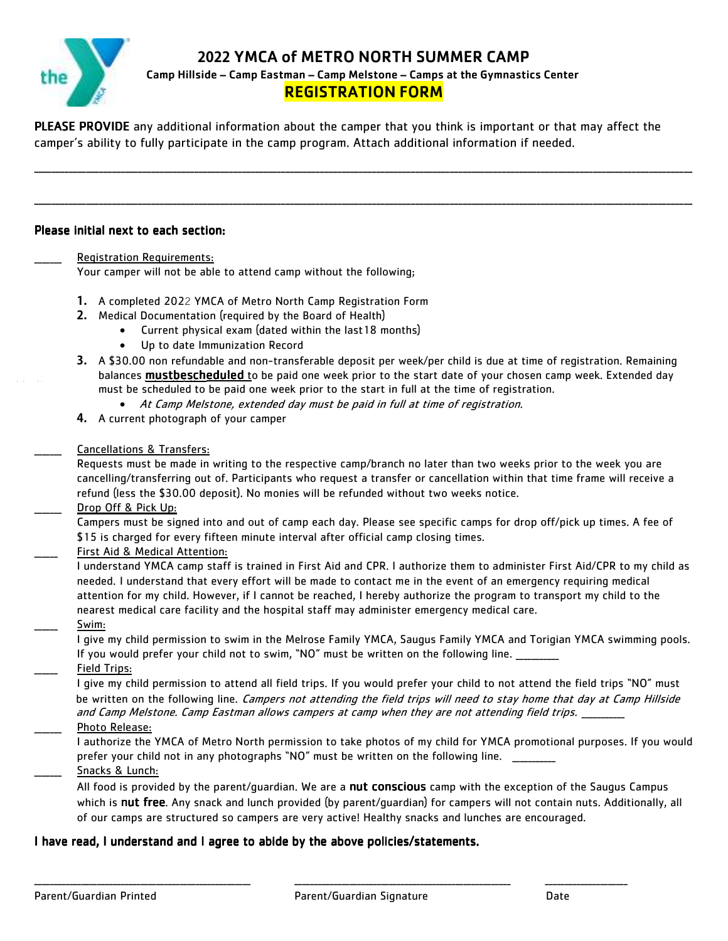**2022** YMCA of METRO NORTH SUMMER CAMP

Camp Hillside – Camp Eastman – Camp Melstone – Camps at the Gymnastics Center

## REGISTRATION FORM

\_\_\_\_\_\_\_\_\_\_\_\_\_\_\_\_\_\_\_\_\_\_\_\_\_\_\_\_\_\_\_\_\_\_\_\_\_\_\_\_\_\_\_\_\_\_\_\_\_\_\_\_\_\_\_\_\_\_\_\_\_\_\_\_\_\_\_\_\_\_\_\_\_\_\_\_\_\_\_\_\_\_\_\_\_\_\_\_\_\_\_\_\_\_\_\_\_\_\_\_\_\_\_\_\_\_\_\_\_\_\_\_\_\_\_\_\_\_\_\_\_\_\_\_\_\_\_\_\_\_\_\_\_\_\_\_\_\_\_\_\_\_\_\_\_\_\_\_\_\_\_\_

\_\_\_\_\_\_\_\_\_\_\_\_\_\_\_\_\_\_\_\_\_\_\_\_\_\_\_\_\_\_\_\_\_\_\_\_\_\_\_\_\_\_\_\_\_\_\_\_\_\_\_\_\_\_\_\_\_\_\_\_\_\_\_\_\_\_\_\_\_\_\_\_\_\_\_\_\_\_\_\_\_\_\_\_\_\_\_\_\_\_\_\_\_\_\_\_\_\_\_\_\_\_\_\_\_\_\_\_\_\_\_\_\_\_\_\_\_\_\_\_\_\_\_\_\_\_\_\_\_\_\_\_\_\_\_\_\_\_\_\_\_\_\_\_\_\_\_\_\_\_\_\_

PLEASE PROVIDE any additional information about the camper that you think is important or that may affect the camper's ability to fully participate in the camp program. Attach additional information if needed.

#### Please initial next to each section:

Registration Requirements:

Your camper will not be able to attend camp without the following;

- **1.** A completed 2022 YMCA of Metro North Camp Registration Form
- **2.** Medical Documentation (required by the Board of Health)
	- Current physical exam (dated within the last18 months)
	- Up to date Immunization Record
- **3.** A \$30.00 non refundable and non-transferable deposit per week/per child is due at time of registration. Remaining balances mustbescheduled to be paid one week prior to the start date of your chosen camp week. Extended day must be scheduled to be paid one week prior to the start in full at the time of registration.
	- At Camp Melstone, extended day must be paid in full at time of registration.
- **4.** A current photograph of your camper

#### \_\_\_\_\_\_\_ Cancellations & Transfers:

Requests must be made in writing to the respective camp/branch no later than two weeks prior to the week you are cancelling/transferring out of. Participants who request a transfer or cancellation within that time frame will receive a refund (less the \$30.00 deposit). No monies will be refunded without two weeks notice.

Drop Off & Pick Up:

Campers must be signed into and out of camp each day. Please see specific camps for drop off/pick up times. A fee of \$15 is charged for every fifteen minute interval after official camp closing times.

First Aid & Medical Attention:

I understand YMCA camp staff is trained in First Aid and CPR. I authorize them to administer First Aid/CPR to my child as needed. I understand that every effort will be made to contact me in the event of an emergency requiring medical attention for my child. However, if I cannot be reached, I hereby authorize the program to transport my child to the nearest medical care facility and the hospital staff may administer emergency medical care. \_\_\_\_\_\_ Swim:

I give my child permission to swim in the Melrose Family YMCA, Saugus Family YMCA and Torigian YMCA swimming pools. If you would prefer your child not to swim, "NO" must be written on the following line.

Field Trips:

I give my child permission to attend all field trips. If you would prefer your child to not attend the field trips "NO" must be written on the following line. Campers not attending the field trips will need to stay home that day at Camp Hillside and Camp Melstone. Camp Eastman allows campers at camp when they are not attending field trips. \_ Photo Release:

I authorize the YMCA of Metro North permission to take photos of my child for YMCA promotional purposes. If you would prefer your child not in any photographs "NO" must be written on the following line.

Snacks & Lunch:

All food is provided by the parent/quardian. We are a **nut conscious** camp with the exception of the Saugus Campus which is nut free. Any snack and lunch provided (by parent/quardian) for campers will not contain nuts. Additionally, all of our camps are structured so campers are very active! Healthy snacks and lunches are encouraged.

### I have read, I understand and I agree to abide by the above policies/statements.

\_\_\_\_\_\_\_\_\_\_\_\_\_\_\_\_\_\_\_\_\_\_\_\_\_\_\_\_\_\_\_\_\_\_\_\_\_\_\_\_\_\_\_\_\_\_\_\_\_\_\_\_\_\_\_ \_\_\_\_\_\_\_\_\_\_\_\_\_\_\_\_\_\_\_\_\_\_\_\_\_\_\_\_\_\_\_\_\_\_\_\_\_\_\_\_\_\_\_\_\_\_\_\_\_\_\_\_\_\_\_ \_\_\_\_\_\_\_\_\_\_\_\_\_\_\_\_\_\_\_\_\_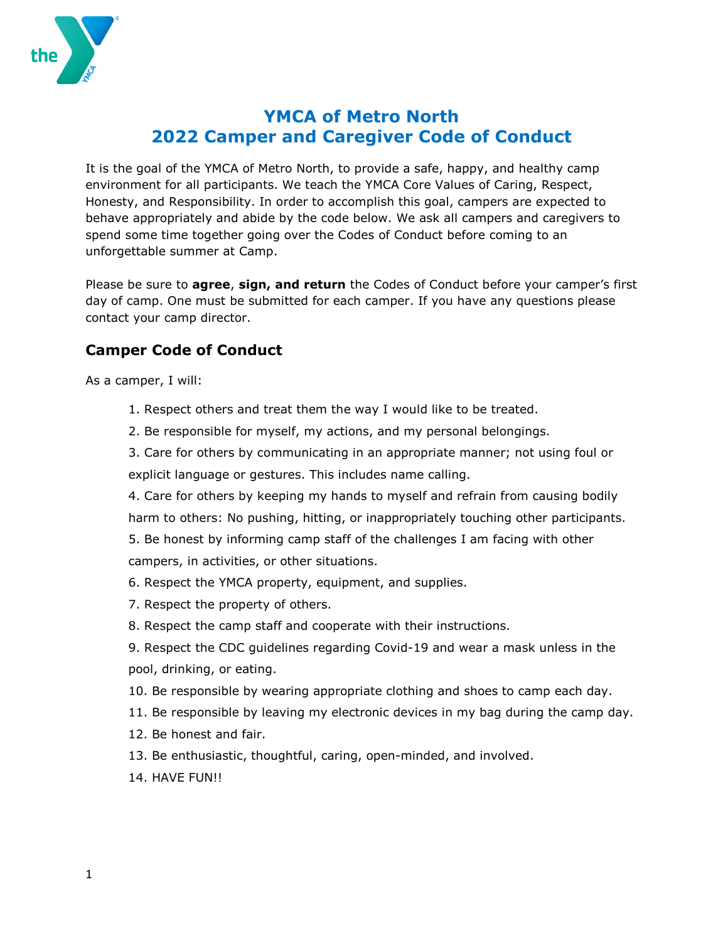

# **YMCA of Metro North 2022 Camper and Caregiver Code of Conduct**

It is the goal of the YMCA of Metro North, to provide a safe, happy, and healthy camp environment for all participants. We teach the YMCA Core Values of Caring, Respect, Honesty, and Responsibility. In order to accomplish this goal, campers are expected to behave appropriately and abide by the code below. We ask all campers and caregivers to spend some time together going over the Codes of Conduct before coming to an unforgettable summer at Camp.

Please be sure to **agree**, **sign, and return** the Codes of Conduct before your camper's first day of camp. One must be submitted for each camper. If you have any questions please contact your camp director.

## **Camper Code of Conduct**

As a camper, I will:

- 1. Respect others and treat them the way I would like to be treated.
- 2. Be responsible for myself, my actions, and my personal belongings.

3. Care for others by communicating in an appropriate manner; not using foul or explicit language or gestures. This includes name calling.

4. Care for others by keeping my hands to myself and refrain from causing bodily harm to others: No pushing, hitting, or inappropriately touching other participants.

5. Be honest by informing camp staff of the challenges I am facing with other campers, in activities, or other situations.

- 6. Respect the YMCA property, equipment, and supplies.
- 7. Respect the property of others.
- 8. Respect the camp staff and cooperate with their instructions.

9. Respect the CDC guidelines regarding Covid-19 and wear a mask unless in the pool, drinking, or eating.

- 10. Be responsible by wearing appropriate clothing and shoes to camp each day.
- 11. Be responsible by leaving my electronic devices in my bag during the camp day.
- 12. Be honest and fair.
- 13. Be enthusiastic, thoughtful, caring, open-minded, and involved.
- 14. HAVE FUN!!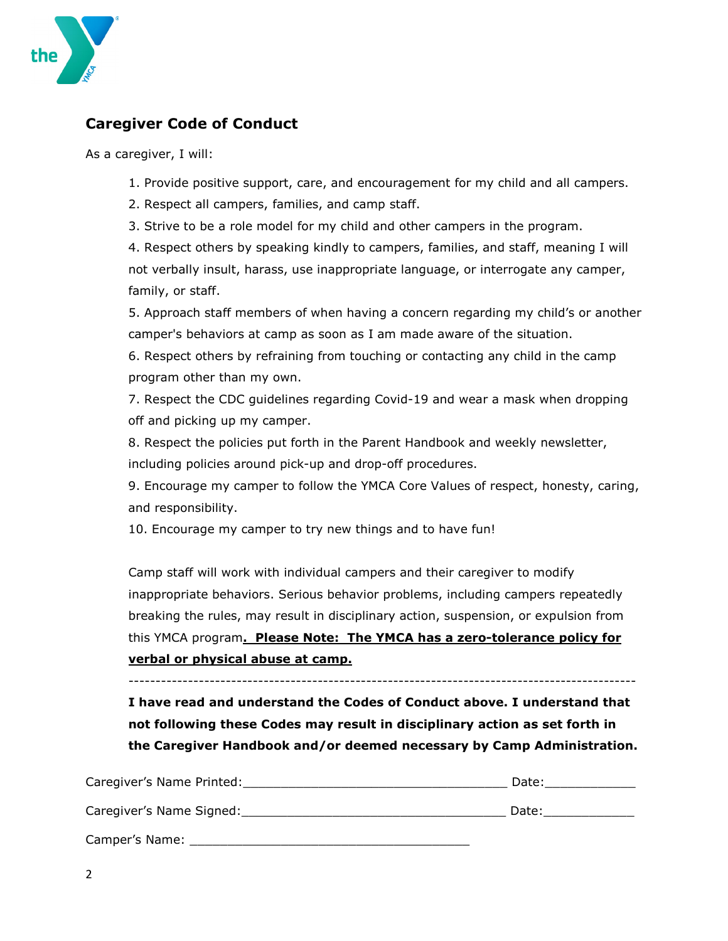

## **Caregiver Code of Conduct**

As a caregiver, I will:

- 1. Provide positive support, care, and encouragement for my child and all campers.
- 2. Respect all campers, families, and camp staff.
- 3. Strive to be a role model for my child and other campers in the program.

4. Respect others by speaking kindly to campers, families, and staff, meaning I will not verbally insult, harass, use inappropriate language, or interrogate any camper, family, or staff.

5. Approach staff members of when having a concern regarding my child's or another camper's behaviors at camp as soon as I am made aware of the situation.

6. Respect others by refraining from touching or contacting any child in the camp program other than my own.

7. Respect the CDC guidelines regarding Covid-19 and wear a mask when dropping off and picking up my camper.

8. Respect the policies put forth in the Parent Handbook and weekly newsletter, including policies around pick-up and drop-off procedures.

9. Encourage my camper to follow the YMCA Core Values of respect, honesty, caring, and responsibility.

10. Encourage my camper to try new things and to have fun!

Camp staff will work with individual campers and their caregiver to modify inappropriate behaviors. Serious behavior problems, including campers repeatedly breaking the rules, may result in disciplinary action, suspension, or expulsion from this YMCA program**. Please Note: The YMCA has a zero-tolerance policy for verbal or physical abuse at camp.**

**I have read and understand the Codes of Conduct above. I understand that not following these Codes may result in disciplinary action as set forth in the Caregiver Handbook and/or deemed necessary by Camp Administration.**

| Caregiver's Name Printed: | Date: |
|---------------------------|-------|
| Caregiver's Name Signed:  | Date: |
| Camper's Name:            |       |